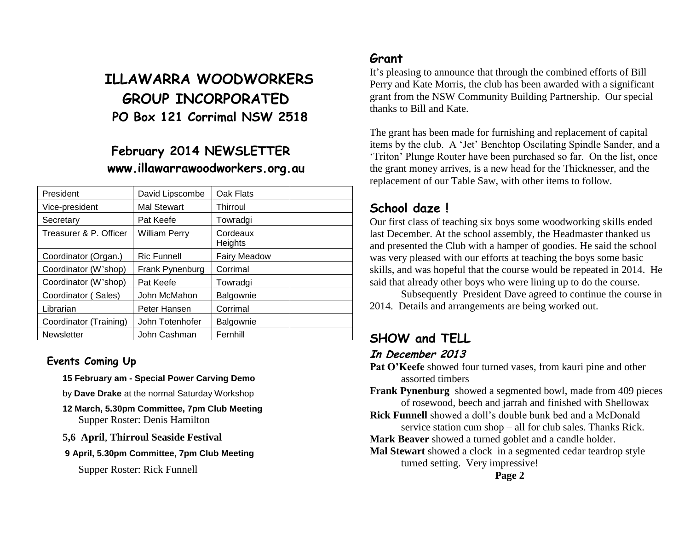# **ILLAWARRA WOODWORKERS GROUP INCORPORATED PO Box 121 Corrimal NSW 2518**

### **February 2014 NEWSLETTER www.illawarrawoodworkers.org.au**

| President              | David Lipscombe      | Oak Flats           |  |
|------------------------|----------------------|---------------------|--|
| Vice-president         | Mal Stewart          | Thirroul            |  |
| Secretary              | Pat Keefe            | Towradgi            |  |
| Treasurer & P. Officer | <b>William Perry</b> | Cordeaux<br>Heights |  |
| Coordinator (Organ.)   | <b>Ric Funnell</b>   | <b>Fairy Meadow</b> |  |
| Coordinator (W'shop)   | Frank Pynenburg      | Corrimal            |  |
| Coordinator (W'shop)   | Pat Keefe            | Towradgi            |  |
| Coordinator (Sales)    | John McMahon         | Balgownie           |  |
| Librarian              | Peter Hansen         | Corrimal            |  |
| Coordinator (Training) | John Totenhofer      | Balgownie           |  |
| <b>Newsletter</b>      | John Cashman         | Fernhill            |  |

#### **Events Coming Up**

**15 February am - Special Power Carving Demo** 

- by **Dave Drake** at the normal Saturday Workshop
- **12 March, 5.30pm Committee, 7pm Club Meeting** Supper Roster: Denis Hamilton
- **5,6 April**, **Thirroul Seaside Festival**
- **9 April, 5.30pm Committee, 7pm Club Meeting**

Supper Roster: Rick Funnell

#### **Grant**

It's pleasing to announce that through the combined efforts of Bill Perry and Kate Morris, the club has been awarded with a significant grant from the NSW Community Building Partnership. Our special thanks to Bill and Kate.

The grant has been made for furnishing and replacement of capital items by the club. A 'Jet' Benchtop Oscilating Spindle Sander, and a 'Triton' Plunge Router have been purchased so far. On the list, once the grant money arrives, is a new head for the Thicknesser, and the replacement of our Table Saw, with other items to follow.

### **School daze !**

Our first class of teaching six boys some woodworking skills ended last December. At the school assembly, the Headmaster thanked us and presented the Club with a hamper of goodies. He said the school was very pleased with our efforts at teaching the boys some basic skills, and was hopeful that the course would be repeated in 2014. He said that already other boys who were lining up to do the course.

Subsequently President Dave agreed to continue the course in 2014. Details and arrangements are being worked out.

#### **SHOW and TELL In December 2013**

Pat O'Keefe showed four turned vases, from kauri pine and other assorted timbers

**Frank Pynenburg** showed a segmented bowl, made from 409 pieces of rosewood, beech and jarrah and finished with Shellowax

**Rick Funnell** showed a doll's double bunk bed and a McDonald service station cum shop – all for club sales. Thanks Rick.

**Mark Beaver** showed a turned goblet and a candle holder.

**Mal Stewart** showed a clock in a segmented cedar teardrop style turned setting. Very impressive!

**Page 2**